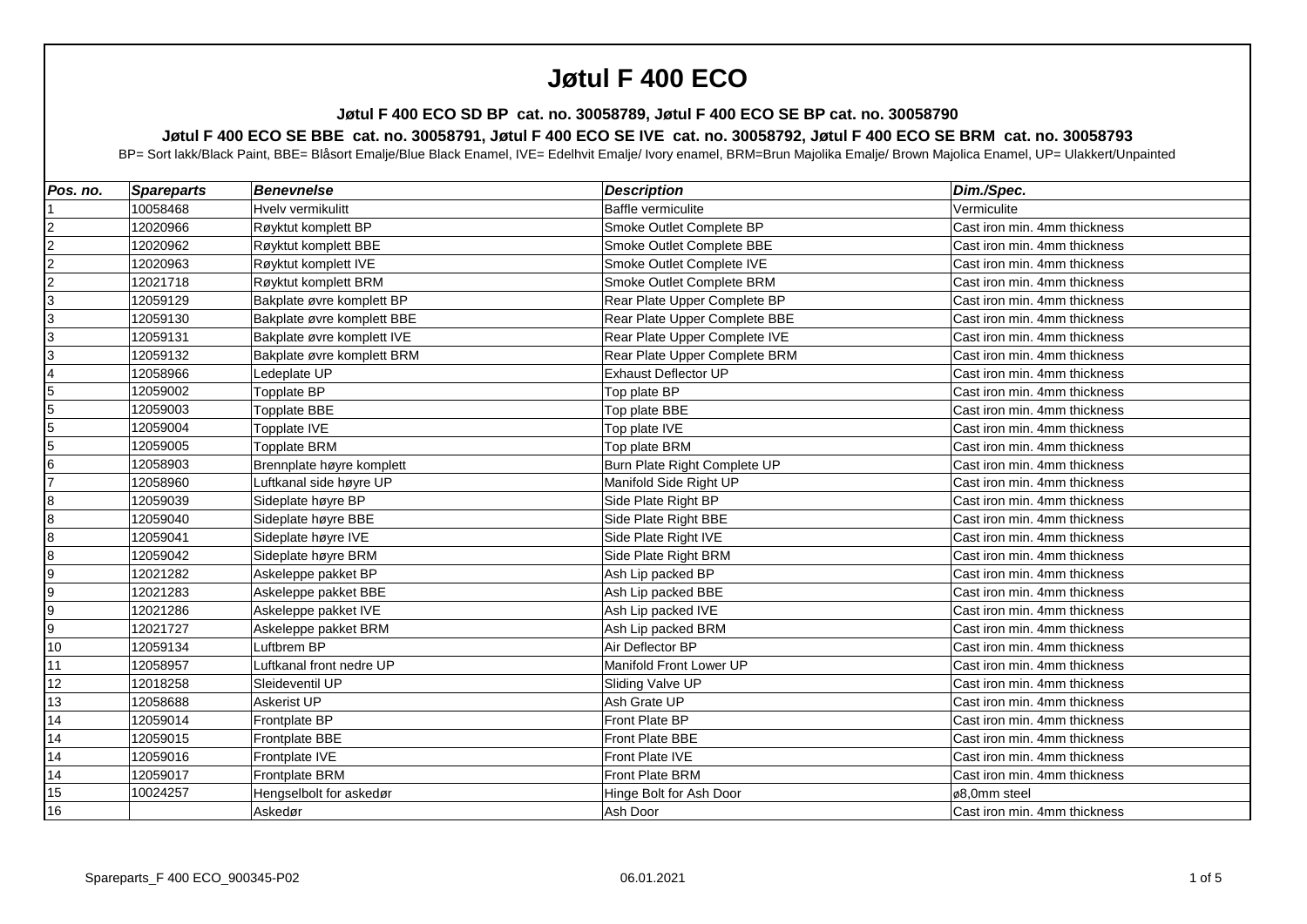#### **Jøtul F 400 ECO SD BP cat. no. 30058789, Jøtul F 400 ECO SE BP cat. no. 30058790**

#### **Jøtul F 400 ECO SE BBE cat. no. 30058791, Jøtul F 400 ECO SE IVE cat. no. 30058792, Jøtul F 400 ECO SE BRM cat. no. 30058793**

| Pos. no.        | <b>Spareparts</b> | <b>Benevnelse</b>          | <b>Description</b>            | Dim./Spec.                   |
|-----------------|-------------------|----------------------------|-------------------------------|------------------------------|
|                 | 10058468          | Hvelv vermikulitt          | <b>Baffle vermiculite</b>     | Vermiculite                  |
| $\overline{2}$  | 12020966          | Røyktut komplett BP        | Smoke Outlet Complete BP      | Cast iron min. 4mm thickness |
| $\overline{2}$  | 12020962          | Røyktut komplett BBE       | Smoke Outlet Complete BBE     | Cast iron min. 4mm thickness |
| $\overline{2}$  | 12020963          | Røyktut komplett IVE       | Smoke Outlet Complete IVE     | Cast iron min. 4mm thickness |
| $\overline{2}$  | 12021718          | Røyktut komplett BRM       | Smoke Outlet Complete BRM     | Cast iron min. 4mm thickness |
| $\overline{3}$  | 12059129          | Bakplate øvre komplett BP  | Rear Plate Upper Complete BP  | Cast iron min. 4mm thickness |
| 3               | 12059130          | Bakplate øvre komplett BBE | Rear Plate Upper Complete BBE | Cast iron min. 4mm thickness |
| 3               | 12059131          | Bakplate øvre komplett IVE | Rear Plate Upper Complete IVE | Cast iron min. 4mm thickness |
| 3               | 12059132          | Bakplate øvre komplett BRM | Rear Plate Upper Complete BRM | Cast iron min. 4mm thickness |
| $\overline{4}$  | 12058966          | Ledeplate UP               | <b>Exhaust Deflector UP</b>   | Cast iron min. 4mm thickness |
| 5               | 12059002          | Topplate BP                | Top plate BP                  | Cast iron min. 4mm thickness |
| 5               | 12059003          | <b>Topplate BBE</b>        | Top plate BBE                 | Cast iron min. 4mm thickness |
| $\overline{5}$  | 12059004          | Topplate IVE               | Top plate IVE                 | Cast iron min. 4mm thickness |
| $\overline{5}$  | 12059005          | <b>Topplate BRM</b>        | Top plate BRM                 | Cast iron min. 4mm thickness |
| $6\phantom{.}6$ | 12058903          | Brennplate høyre komplett  | Burn Plate Right Complete UP  | Cast iron min. 4mm thickness |
| 7               | 12058960          | Luftkanal side høyre UP    | Manifold Side Right UP        | Cast iron min. 4mm thickness |
| $\bf{8}$        | 12059039          | Sideplate høyre BP         | Side Plate Right BP           | Cast iron min. 4mm thickness |
| 8               | 12059040          | Sideplate høyre BBE        | Side Plate Right BBE          | Cast iron min. 4mm thickness |
| 8               | 12059041          | Sideplate høyre IVE        | Side Plate Right IVE          | Cast iron min. 4mm thickness |
| 8               | 12059042          | Sideplate høyre BRM        | Side Plate Right BRM          | Cast iron min. 4mm thickness |
| 9               | 12021282          | Askeleppe pakket BP        | Ash Lip packed BP             | Cast iron min. 4mm thickness |
| 9               | 12021283          | Askeleppe pakket BBE       | Ash Lip packed BBE            | Cast iron min. 4mm thickness |
| 9               | 12021286          | Askeleppe pakket IVE       | Ash Lip packed IVE            | Cast iron min. 4mm thickness |
| 9               | 12021727          | Askeleppe pakket BRM       | Ash Lip packed BRM            | Cast iron min. 4mm thickness |
| 10              | 12059134          | Luftbrem BP                | Air Deflector BP              | Cast iron min. 4mm thickness |
| 11              | 12058957          | Luftkanal front nedre UP   | Manifold Front Lower UP       | Cast iron min. 4mm thickness |
| 12              | 12018258          | Sleideventil UP            | Sliding Valve UP              | Cast iron min. 4mm thickness |
| 13              | 12058688          | <b>Askerist UP</b>         | Ash Grate UP                  | Cast iron min. 4mm thickness |
| 14              | 12059014          | Frontplate BP              | Front Plate BP                | Cast iron min. 4mm thickness |
| 14              | 12059015          | Frontplate BBE             | Front Plate BBE               | Cast iron min. 4mm thickness |
| 14              | 12059016          | Frontplate IVE             | Front Plate IVE               | Cast iron min. 4mm thickness |
| 14              | 12059017          | Frontplate BRM             | Front Plate BRM               | Cast iron min. 4mm thickness |
| 15              | 10024257          | Hengselbolt for askedør    | Hinge Bolt for Ash Door       | ø8,0mm steel                 |
| 16              |                   | Askedør                    | Ash Door                      | Cast iron min. 4mm thickness |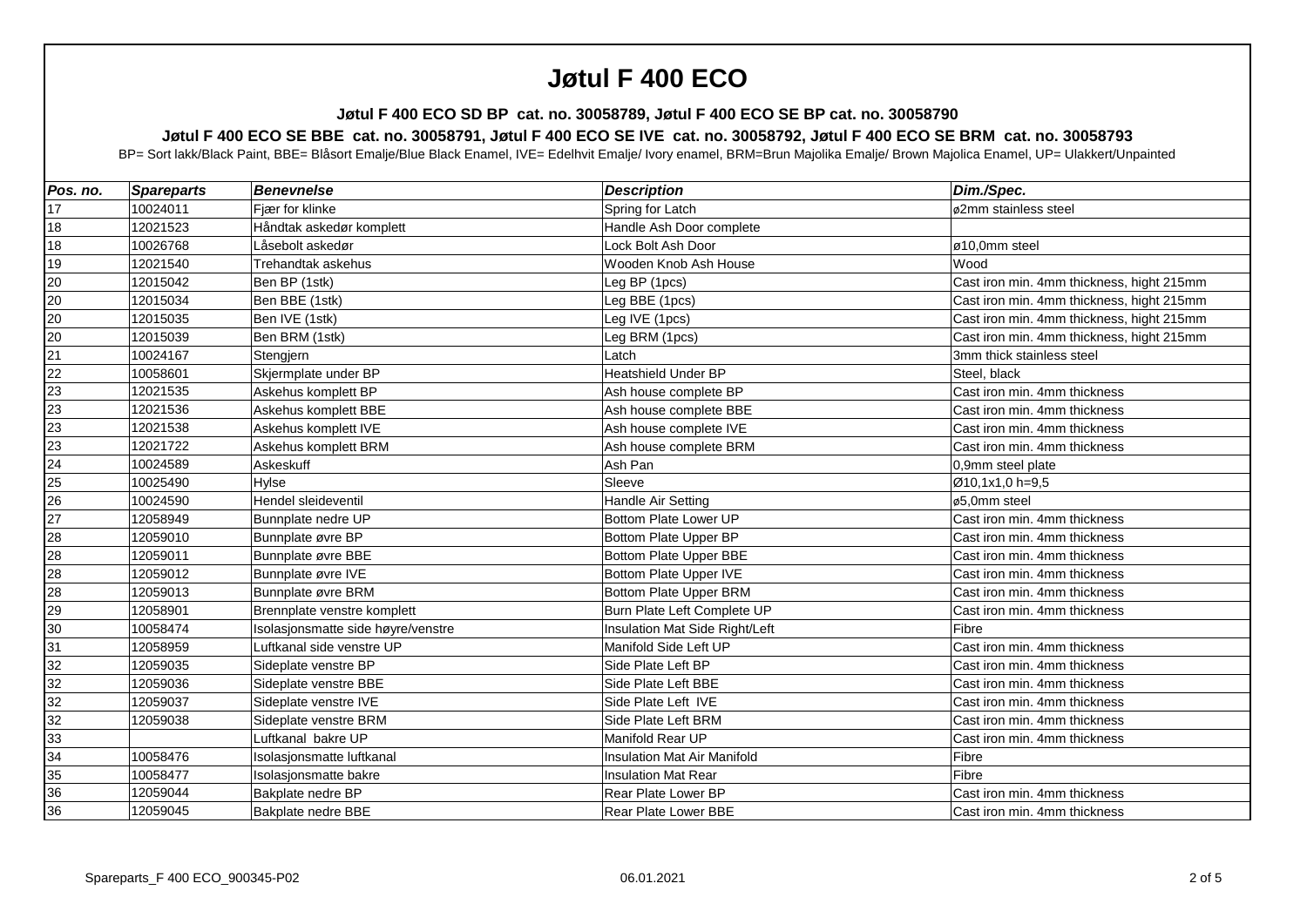**Jøtul F 400 ECO SD BP cat. no. 30058789, Jøtul F 400 ECO SE BP cat. no. 30058790**

**Jøtul F 400 ECO SE BBE cat. no. 30058791, Jøtul F 400 ECO SE IVE cat. no. 30058792, Jøtul F 400 ECO SE BRM cat. no. 30058793**

| Pos. no. | <b>Spareparts</b> | <b>Benevnelse</b>                  | <b>Description</b>                 | Dim./Spec.                                |
|----------|-------------------|------------------------------------|------------------------------------|-------------------------------------------|
| 17       | 10024011          | Fjær for klinke                    | Spring for Latch                   | ø2mm stainless steel                      |
| 18       | 12021523          | Håndtak askedør komplett           | Handle Ash Door complete           |                                           |
| 18       | 10026768          | Låsebolt askedør                   | Lock Bolt Ash Door                 | ø10,0mm steel                             |
| 19       | 12021540          | Trehandtak askehus                 | Wooden Knob Ash House              | Wood                                      |
| 20       | 12015042          | Ben BP (1stk)                      | Leg BP (1pcs)                      | Cast iron min. 4mm thickness, hight 215mm |
| 20       | 12015034          | Ben BBE (1stk)                     | Leg BBE (1pcs)                     | Cast iron min. 4mm thickness, hight 215mm |
| 20       | 12015035          | Ben IVE (1stk)                     | Leg IVE (1pcs)                     | Cast iron min. 4mm thickness, hight 215mm |
| 20       | 12015039          | Ben BRM (1stk)                     | Leg BRM (1pcs)                     | Cast iron min. 4mm thickness, hight 215mm |
| 21       | 10024167          | Stengjern                          | Latch                              | 3mm thick stainless steel                 |
| 22       | 10058601          | Skjermplate under BP               | <b>Heatshield Under BP</b>         | Steel, black                              |
| 23       | 12021535          | Askehus komplett BP                | Ash house complete BP              | Cast iron min. 4mm thickness              |
| 23       | 12021536          | Askehus komplett BBE               | Ash house complete BBE             | Cast iron min. 4mm thickness              |
| 23       | 12021538          | Askehus komplett IVE               | Ash house complete IVE             | Cast iron min. 4mm thickness              |
| 23       | 12021722          | Askehus komplett BRM               | Ash house complete BRM             | Cast iron min. 4mm thickness              |
| 24       | 10024589          | Askeskuff                          | Ash Pan                            | 0,9mm steel plate                         |
| 25       | 10025490          | Hylse                              | Sleeve                             | Ø10,1x1,0 h=9,5                           |
| 26       | 10024590          | Hendel sleideventil                | Handle Air Setting                 | ø5,0mm steel                              |
| 27       | 12058949          | Bunnplate nedre UP                 | Bottom Plate Lower UP              | Cast iron min. 4mm thickness              |
| 28       | 12059010          | Bunnplate øvre BP                  | Bottom Plate Upper BP              | Cast iron min. 4mm thickness              |
| 28       | 12059011          | Bunnplate øvre BBE                 | Bottom Plate Upper BBE             | Cast iron min. 4mm thickness              |
| 28       | 12059012          | Bunnplate øvre IVE                 | Bottom Plate Upper IVE             | Cast iron min. 4mm thickness              |
| 28       | 12059013          | <b>Bunnplate øvre BRM</b>          | <b>Bottom Plate Upper BRM</b>      | Cast iron min. 4mm thickness              |
| 29       | 12058901          | Brennplate venstre komplett        | Burn Plate Left Complete UP        | Cast iron min. 4mm thickness              |
| 30       | 10058474          | Isolasjonsmatte side høyre/venstre | Insulation Mat Side Right/Left     | Fibre                                     |
| 31       | 12058959          | Luftkanal side venstre UP          | Manifold Side Left UP              | Cast iron min. 4mm thickness              |
| 32       | 12059035          | Sideplate venstre BP               | Side Plate Left BP                 | Cast iron min. 4mm thickness              |
| 32       | 12059036          | Sideplate venstre BBE              | Side Plate Left BBE                | Cast iron min. 4mm thickness              |
| 32       | 12059037          | Sideplate venstre IVE              | Side Plate Left IVE                | Cast iron min. 4mm thickness              |
| 32       | 12059038          | Sideplate venstre BRM              | Side Plate Left BRM                | Cast iron min. 4mm thickness              |
| 33       |                   | Luftkanal bakre UP                 | Manifold Rear UP                   | Cast iron min. 4mm thickness              |
| 34       | 10058476          | Isolasjonsmatte luftkanal          | <b>Insulation Mat Air Manifold</b> | Fibre                                     |
| 35       | 10058477          | Isolasjonsmatte bakre              | <b>Insulation Mat Rear</b>         | Fibre                                     |
| 36       | 12059044          | Bakplate nedre BP                  | Rear Plate Lower BP                | Cast iron min. 4mm thickness              |
| 36       | 12059045          | <b>Bakplate nedre BBE</b>          | Rear Plate Lower BBE               | Cast iron min. 4mm thickness              |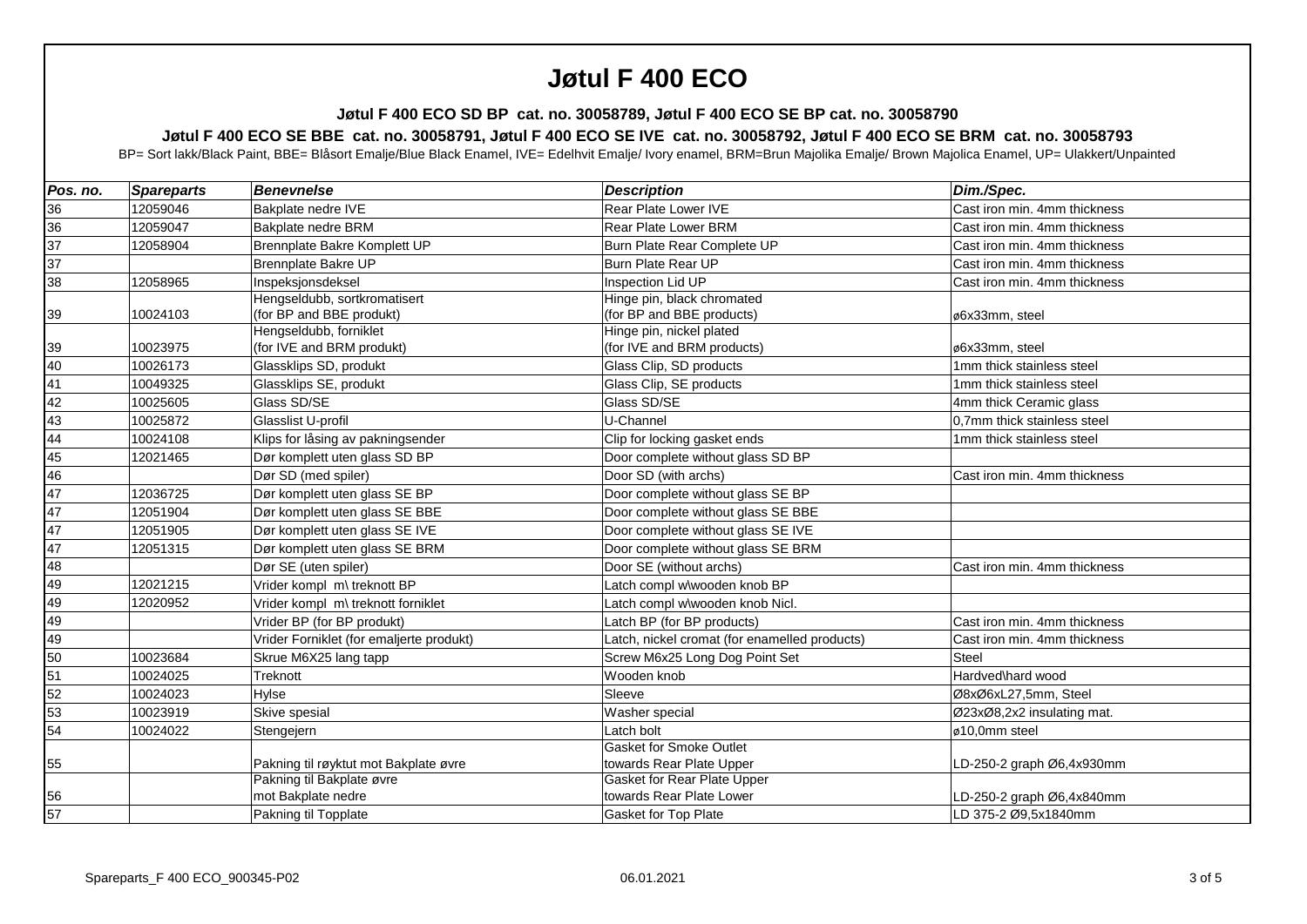**Jøtul F 400 ECO SD BP cat. no. 30058789, Jøtul F 400 ECO SE BP cat. no. 30058790**

**Jøtul F 400 ECO SE BBE cat. no. 30058791, Jøtul F 400 ECO SE IVE cat. no. 30058792, Jøtul F 400 ECO SE BRM cat. no. 30058793**

| Pos. no. | <b>Spareparts</b> | <b>Benevnelse</b>                        | <b>Description</b>                            | Dim./Spec.                   |
|----------|-------------------|------------------------------------------|-----------------------------------------------|------------------------------|
| 36       | 12059046          | Bakplate nedre IVE                       | <b>Rear Plate Lower IVE</b>                   | Cast iron min. 4mm thickness |
| 36       | 12059047          | Bakplate nedre BRM                       | Rear Plate Lower BRM                          | Cast iron min. 4mm thickness |
| 37       | 12058904          | Brennplate Bakre Komplett UP             | Burn Plate Rear Complete UP                   | Cast iron min. 4mm thickness |
| 37       |                   | <b>Brennplate Bakre UP</b>               | <b>Burn Plate Rear UP</b>                     | Cast iron min. 4mm thickness |
| 38       | 12058965          | Inspeksjonsdeksel                        | Inspection Lid UP                             | Cast iron min. 4mm thickness |
|          |                   | Hengseldubb, sortkromatisert             | Hinge pin, black chromated                    |                              |
| 39       | 10024103          | (for BP and BBE produkt)                 | (for BP and BBE products)                     | ø6x33mm, steel               |
|          |                   | Hengseldubb, forniklet                   | Hinge pin, nickel plated                      |                              |
| 39       | 10023975          | (for IVE and BRM produkt)                | (for IVE and BRM products)                    | ø6x33mm, steel               |
| 40       | 10026173          | Glassklips SD, produkt                   | Glass Clip, SD products                       | 1mm thick stainless steel    |
| 41       | 10049325          | Glassklips SE, produkt                   | Glass Clip, SE products                       | 1mm thick stainless steel    |
| 42       | 10025605          | Glass SD/SE                              | Glass SD/SE                                   | 4mm thick Ceramic glass      |
| 43       | 10025872          | Glasslist U-profil                       | U-Channel                                     | 0,7mm thick stainless steel  |
| 44       | 10024108          | Klips for låsing av pakningsender        | Clip for locking gasket ends                  | 1mm thick stainless steel    |
| 45       | 12021465          | Dør komplett uten glass SD BP            | Door complete without glass SD BP             |                              |
| 46       |                   | Dør SD (med spiler)                      | Door SD (with archs)                          | Cast iron min. 4mm thickness |
| 47       | 12036725          | Dør komplett uten glass SE BP            | Door complete without glass SE BP             |                              |
| 47       | 12051904          | Dør komplett uten glass SE BBE           | Door complete without glass SE BBE            |                              |
| 47       | 12051905          | Dør komplett uten glass SE IVE           | Door complete without glass SE IVE            |                              |
| 47       | 12051315          | Dør komplett uten glass SE BRM           | Door complete without glass SE BRM            |                              |
| 48       |                   | Dør SE (uten spiler)                     | Door SE (without archs)                       | Cast iron min. 4mm thickness |
| 49       | 12021215          | Vrider kompl m\treknott BP               | Latch compl w\wooden knob BP                  |                              |
| 49       | 12020952          | Vrider kompl m\treknott forniklet        | Latch compl w\wooden knob Nicl.               |                              |
| 49       |                   | Vrider BP (for BP produkt)               | Latch BP (for BP products)                    | Cast iron min. 4mm thickness |
| 49       |                   | Vrider Forniklet (for emaljerte produkt) | Latch, nickel cromat (for enamelled products) | Cast iron min. 4mm thickness |
| 50       | 10023684          | Skrue M6X25 lang tapp                    | Screw M6x25 Long Dog Point Set                | Steel                        |
| 51       | 10024025          | <b>Treknott</b>                          | Wooden knob                                   | Hardved\hard wood            |
| 52       | 10024023          | Hylse                                    | Sleeve                                        | Ø8xØ6xL27,5mm, Steel         |
| 53       | 10023919          | Skive spesial                            | Washer special                                | Ø23xØ8,2x2 insulating mat.   |
| 54       | 10024022          | Stengejern                               | Latch bolt                                    | ø10,0mm steel                |
|          |                   |                                          | <b>Gasket for Smoke Outlet</b>                |                              |
| 55       |                   | Pakning til røyktut mot Bakplate øvre    | towards Rear Plate Upper                      | LD-250-2 graph Ø6,4x930mm    |
|          |                   | Pakning til Bakplate øvre                | <b>Gasket for Rear Plate Upper</b>            |                              |
| 56       |                   | mot Bakplate nedre                       | towards Rear Plate Lower                      | LD-250-2 graph Ø6,4x840mm    |
| 57       |                   | Pakning til Topplate                     | <b>Gasket for Top Plate</b>                   | LD 375-2 Ø9,5x1840mm         |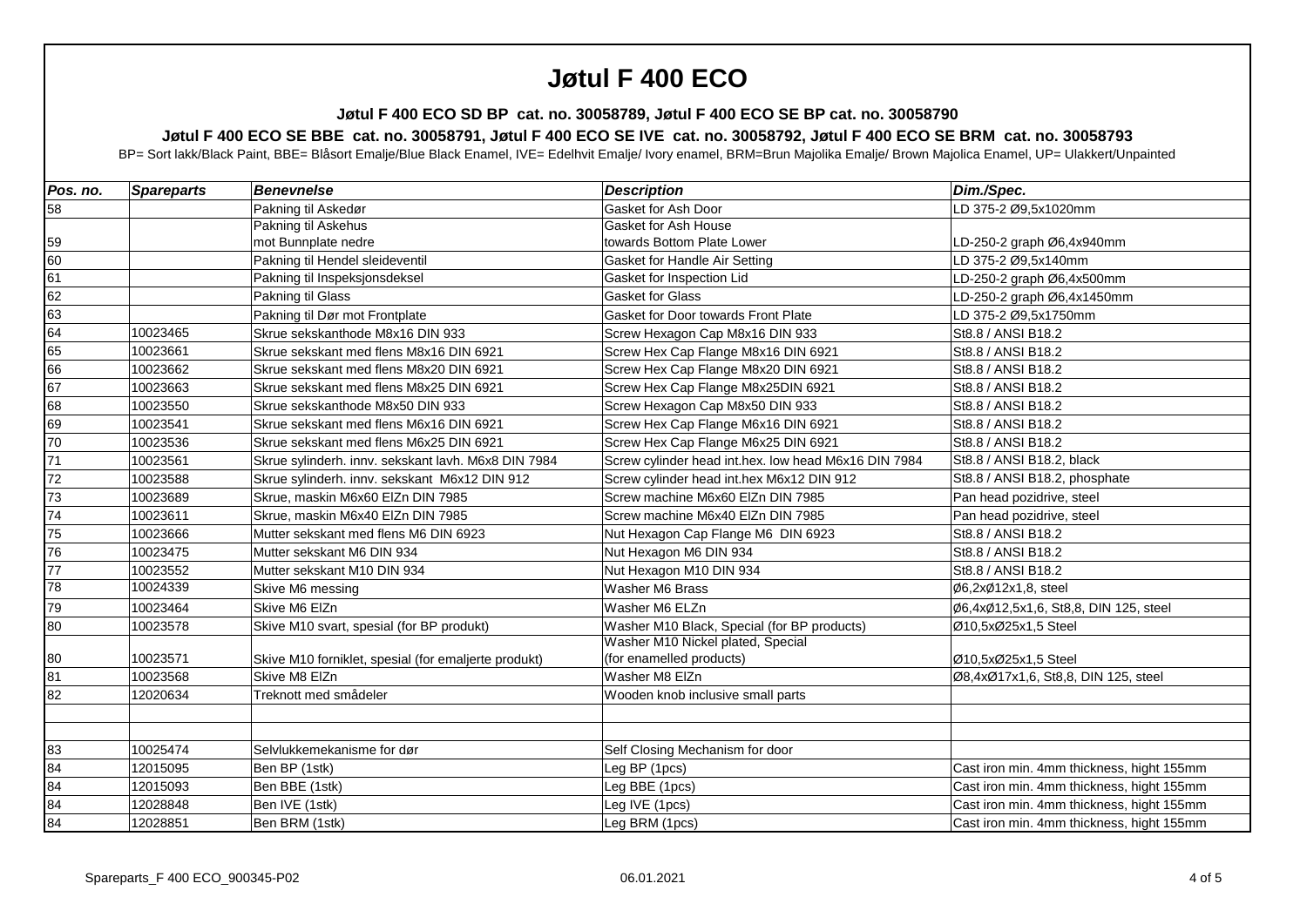**Jøtul F 400 ECO SD BP cat. no. 30058789, Jøtul F 400 ECO SE BP cat. no. 30058790**

**Jøtul F 400 ECO SE BBE cat. no. 30058791, Jøtul F 400 ECO SE IVE cat. no. 30058792, Jøtul F 400 ECO SE BRM cat. no. 30058793**

| Pos. no. | <b>Spareparts</b> | <b>Benevnelse</b>                                    | <b>Description</b>                                   | Dim./Spec.                                |
|----------|-------------------|------------------------------------------------------|------------------------------------------------------|-------------------------------------------|
| 58       |                   | Pakning til Askedør                                  | Gasket for Ash Door                                  | LD 375-2 Ø9,5x1020mm                      |
|          |                   | Pakning til Askehus                                  | <b>Gasket for Ash House</b>                          |                                           |
| 59       |                   | mot Bunnplate nedre                                  | towards Bottom Plate Lower                           | LD-250-2 graph Ø6,4x940mm                 |
| 60       |                   | Pakning til Hendel sleideventil                      | Gasket for Handle Air Setting                        | LD 375-2 Ø9,5x140mm                       |
| 61       |                   | Pakning til Inspeksjonsdeksel                        | Gasket for Inspection Lid                            | LD-250-2 graph Ø6,4x500mm                 |
| 62       |                   | Pakning til Glass                                    | <b>Gasket for Glass</b>                              | LD-250-2 graph Ø6,4x1450mm                |
| 63       |                   | Pakning til Dør mot Frontplate                       | Gasket for Door towards Front Plate                  | LD 375-2 Ø9,5x1750mm                      |
| 64       | 10023465          | Skrue sekskanthode M8x16 DIN 933                     | Screw Hexagon Cap M8x16 DIN 933                      | St8.8 / ANSI B18.2                        |
| 65       | 10023661          | Skrue sekskant med flens M8x16 DIN 6921              | Screw Hex Cap Flange M8x16 DIN 6921                  | St8.8 / ANSI B18.2                        |
| 66       | 10023662          | Skrue sekskant med flens M8x20 DIN 6921              | Screw Hex Cap Flange M8x20 DIN 6921                  | St8.8 / ANSI B18.2                        |
| 67       | 10023663          | Skrue sekskant med flens M8x25 DIN 6921              | Screw Hex Cap Flange M8x25DIN 6921                   | St8.8 / ANSI B18.2                        |
| 68       | 10023550          | Skrue sekskanthode M8x50 DIN 933                     | Screw Hexagon Cap M8x50 DIN 933                      | St8.8 / ANSI B18.2                        |
| 69       | 10023541          | Skrue sekskant med flens M6x16 DIN 6921              | Screw Hex Cap Flange M6x16 DIN 6921                  | St8.8 / ANSI B18.2                        |
| 70       | 10023536          | Skrue sekskant med flens M6x25 DIN 6921              | Screw Hex Cap Flange M6x25 DIN 6921                  | St8.8 / ANSI B18.2                        |
| 71       | 10023561          | Skrue sylinderh. innv. sekskant lavh. M6x8 DIN 7984  | Screw cylinder head int.hex. low head M6x16 DIN 7984 | St8.8 / ANSI B18.2, black                 |
| 72       | 10023588          | Skrue sylinderh. innv. sekskant M6x12 DIN 912        | Screw cylinder head int.hex M6x12 DIN 912            | St8.8 / ANSI B18.2, phosphate             |
| 73       | 10023689          | Skrue, maskin M6x60 ElZn DIN 7985                    | Screw machine M6x60 EIZn DIN 7985                    | Pan head pozidrive, steel                 |
| 74       | 10023611          | Skrue, maskin M6x40 ElZn DIN 7985                    | Screw machine M6x40 EIZn DIN 7985                    | Pan head pozidrive, steel                 |
| 75       | 10023666          | Mutter sekskant med flens M6 DIN 6923                | Nut Hexagon Cap Flange M6 DIN 6923                   | St8.8 / ANSI B18.2                        |
| 76       | 10023475          | Mutter sekskant M6 DIN 934                           | Nut Hexagon M6 DIN 934                               | St8.8 / ANSI B18.2                        |
| 77       | 10023552          | Mutter sekskant M10 DIN 934                          | Nut Hexagon M10 DIN 934                              | St8.8 / ANSI B18.2                        |
| 78       | 10024339          | Skive M6 messing                                     | Washer M6 Brass                                      | $  \phi$ 6,2x $\phi$ 12x1,8, steel        |
| 79       | 10023464          | Skive M6 ElZn                                        | Washer M6 ELZn                                       | Ø6,4xØ12,5x1,6, St8,8, DIN 125, steel     |
| 80       | 10023578          | Skive M10 svart, spesial (for BP produkt)            | Washer M10 Black, Special (for BP products)          | Ø10,5xØ25x1,5 Steel                       |
|          |                   |                                                      | Washer M10 Nickel plated, Special                    |                                           |
| 80       | 10023571          | Skive M10 forniklet, spesial (for emaljerte produkt) | (for enamelled products)                             | Ø10,5xØ25x1,5 Steel                       |
| 81       | 10023568          | Skive M8 ElZn                                        | Washer M8 ElZn                                       | Ø8,4xØ17x1,6, St8,8, DIN 125, steel       |
| 82       | 12020634          | Treknott med smådeler                                | Wooden knob inclusive small parts                    |                                           |
|          |                   |                                                      |                                                      |                                           |
|          |                   |                                                      |                                                      |                                           |
| 83       | 10025474          | Selvlukkemekanisme for dør                           | Self Closing Mechanism for door                      |                                           |
| 84       | 12015095          | Ben BP (1stk)                                        | Leg BP (1pcs)                                        | Cast iron min. 4mm thickness, hight 155mm |
| 84       | 12015093          | Ben BBE (1stk)                                       | Leg BBE (1pcs)                                       | Cast iron min. 4mm thickness, hight 155mm |
| 84       | 12028848          | Ben IVE (1stk)                                       | Leg IVE (1pcs)                                       | Cast iron min. 4mm thickness, hight 155mm |
| 84       | 12028851          | Ben BRM (1stk)                                       | Leg BRM (1pcs)                                       | Cast iron min. 4mm thickness, hight 155mm |